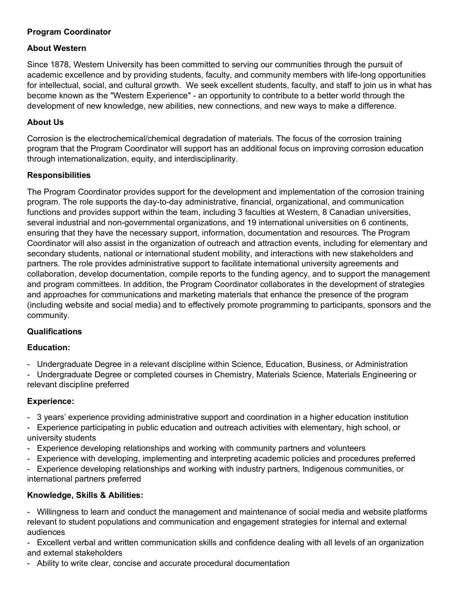# **Program Coordinator**

## **About Western**

Since 1878, Western University has been committed to serving our communities through the pursuit of academic excellence and by providing students, faculty, and community members with life-long opportunities for intellectual, social, and cultural growth. We seek excellent students, faculty, and staff to join us in what has become known as the "Western Experience" - an opportunity to contribute to a better world through the development of new knowledge, new abilities, new connections, and new ways to make a difference.

## **About Us**

Corrosion is the electrochemical/chemical degradation of materials. The focus of the corrosion training program that the Program Coordinator will support has an additional focus on improving corrosion education through internationalization, equity, and interdisciplinarity.

## **Responsibilities**

The Program Coordinator provides support for the development and implementation of the corrosion training program. The role supports the day-to-day administrative, financial, organizational, and communication functions and provides support within the team, including 3 faculties at Western, 8 Canadian universities, several industrial and non-governmental organizations, and 19 international universities on 6 continents, ensuring that they have the necessary support, information, documentation and resources. The Program Coordinator will also assist in the organization of outreach and attraction events, including for elementary and secondary students, national or international student mobility, and interactions with new stakeholders and partners. The role provides administrative support to facilitate international university agreements and collaboration, develop documentation, compile reports to the funding agency, and to support the management and program committees. In addition, the Program Coordinator collaborates in the development of strategies and approaches for communications and marketing materials that enhance the presence of the program (including website and social media) and to effectively promote programming to participants, sponsors and the community.

# **Qualifications**

# **Education:**

- Undergraduate Degree in a relevant discipline within Science, Education, Business, or Administration

- Undergraduate Degree or completed courses in Chemistry, Materials Science, Materials Engineering or relevant discipline preferred

### **Experience:**

- 3 years' experience providing administrative support and coordination in a higher education institution
- Experience participating in public education and outreach activities with elementary, high school, or university students
- Experience developing relationships and working with community partners and volunteers
- Experience with developing, implementing and interpreting academic policies and procedures preferred
- Experience developing relationships and working with industry partners, Indigenous communities, or international partners preferred

# **Knowledge, Skills & Abilities:**

- Willingness to learn and conduct the management and maintenance of social media and website platforms relevant to student populations and communication and engagement strategies for internal and external audiences

- Excellent verbal and written communication skills and confidence dealing with all levels of an organization and external stakeholders

- Ability to write clear, concise and accurate procedural documentation